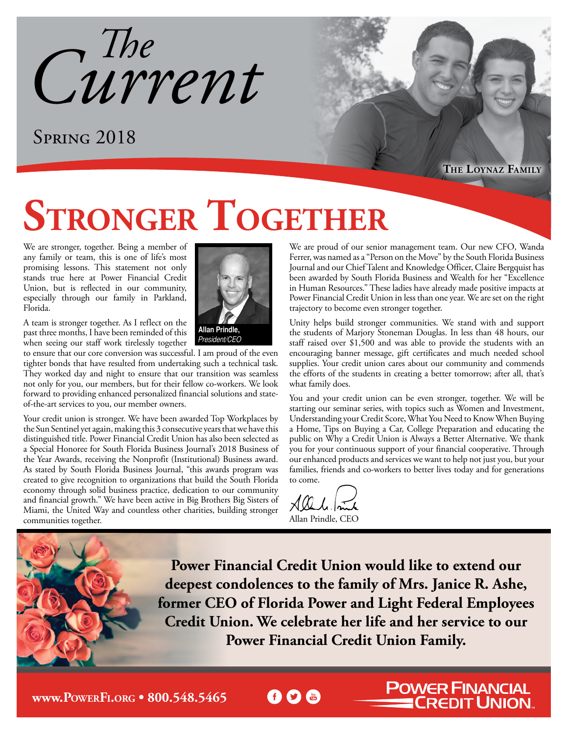*Current The*

### Spring 2018

**The Loynaz Family**

# **STRONGER TOGETHER**

We are stronger, together. Being a member of any family or team, this is one of life's most promising lessons. This statement not only stands true here at Power Financial Credit Union, but is reflected in our community, especially through our family in Parkland, Florida.

A team is stronger together. As I reflect on the past three months, I have been reminded of this when seeing our staff work tirelessly together

to ensure that our core conversion was successful. I am proud of the even tighter bonds that have resulted from undertaking such a technical task. They worked day and night to ensure that our transition was seamless not only for you, our members, but for their fellow co-workers. We look forward to providing enhanced personalized financial solutions and stateof-the-art services to you, our member owners.

Your credit union is stronger. We have been awarded Top Workplaces by the Sun Sentinel yet again, making this 3 consecutive years that we have this distinguished title. Power Financial Credit Union has also been selected as a Special Honoree for South Florida Business Journal's 2018 Business of the Year Awards, receiving the Nonprofit (Institutional) Business award. As stated by South Florida Business Journal, "this awards program was created to give recognition to organizations that build the South Florida economy through solid business practice, dedication to our community and financial growth." We have been active in Big Brothers Big Sisters of Miami, the United Way and countless other charities, building stronger communities together.



President/CEO

We are proud of our senior management team. Our new CFO, Wanda Ferrer, was named as a "Person on the Move" by the South Florida Business Journal and our Chief Talent and Knowledge Officer, Claire Bergquist has been awarded by South Florida Business and Wealth for her "Excellence in Human Resources." These ladies have already made positive impacts at Power Financial Credit Union in less than one year. We are set on the right trajectory to become even stronger together.

Unity helps build stronger communities. We stand with and support the students of Marjory Stoneman Douglas. In less than 48 hours, our staff raised over \$1,500 and was able to provide the students with an encouraging banner message, gift certificates and much needed school supplies. Your credit union cares about our community and commends the efforts of the students in creating a better tomorrow; after all, that's what family does.

You and your credit union can be even stronger, together. We will be starting our seminar series, with topics such as Women and Investment, Understanding your Credit Score, What You Need to Know When Buying a Home, Tips on Buying a Car, College Preparation and educating the public on Why a Credit Union is Always a Better Alternative. We thank you for your continuous support of your financial cooperative. Through our enhanced products and services we want to help not just you, but your families, friends and co-workers to better lives today and for generations to come.

**POWER FINANCIAL<br>CREDIT UNION.** 

Slel. Allan Prindle, CEO

**f D** to

**Power Financial Credit Union would like to extend our deepest condolences to the family of Mrs. Janice R. Ashe, former CEO of Florida Power and Light Federal Employees Credit Union. We celebrate her life and her service to our Power Financial Credit Union Family.**

**www.PowerFi.org [• 800.548.5465](http://www.powerfi.org)**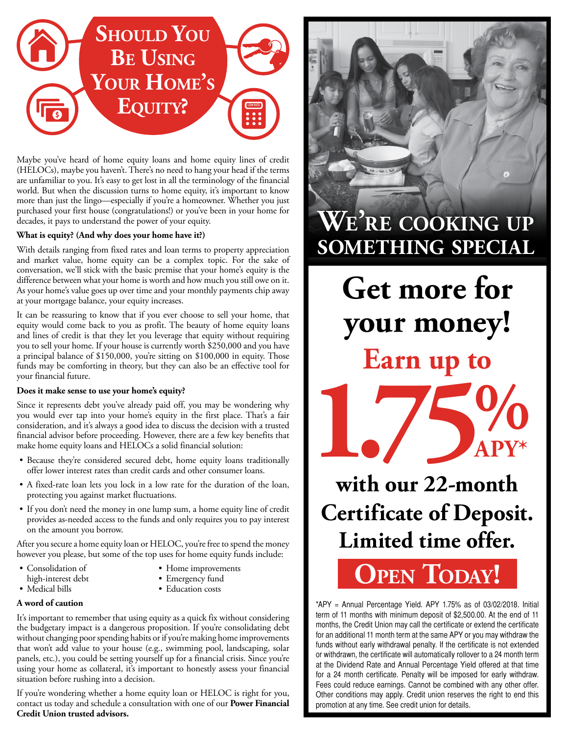

Maybe you've heard of home equity loans and home equity lines of credit (HELOCs), maybe you haven't. There's no need to hang your head if the terms are unfamiliar to you. It's easy to get lost in all the terminology of the financial world. But when the discussion turns to home equity, it's important to know more than just the lingo—especially if you're a homeowner. Whether you just purchased your first house (congratulations!) or you've been in your home for decades, it pays to understand the power of your equity.

#### **What is equity? (And why does your home have it?)**

With details ranging from fixed rates and loan terms to property appreciation and market value, home equity can be a complex topic. For the sake of conversation, we'll stick with the basic premise that your home's equity is the difference between what your home is worth and how much you still owe on it. As your home's value goes up over time and your monthly payments chip away at your mortgage balance, your equity increases.

It can be reassuring to know that if you ever choose to sell your home, that equity would come back to you as profit. The beauty of home equity loans and lines of credit is that they let you leverage that equity without requiring you to sell your home. If your house is currently worth \$250,000 and you have a principal balance of \$150,000, you're sitting on \$100,000 in equity. Those funds may be comforting in theory, but they can also be an effective tool for your financial future.

#### **Does it make sense to use your home's equity?**

Since it represents debt you've already paid off, you may be wondering why you would ever tap into your home's equity in the first place. That's a fair consideration, and it's always a good idea to discuss the decision with a trusted financial advisor before proceeding. However, there are a few key benefits that make home equity loans and HELOCs a solid financial solution:

- Because they're considered secured debt, home equity loans traditionally offer lower interest rates than credit cards and other consumer loans.
- A fixed-rate loan lets you lock in a low rate for the duration of the loan, protecting you against market fluctuations.
- If you don't need the money in one lump sum, a home equity line of credit provides as-needed access to the funds and only requires you to pay interest on the amount you borrow.

After you secure a home equity loan or HELOC, you're free to spend the money however you please, but some of the top uses for home equity funds include:

- Consolidation of
- high-interest debt • Medical bills
- 
- Home improvements
- Emergency fund
- Education costs

### **A word of caution**

It's important to remember that using equity as a quick fix without considering the budgetary impact is a dangerous proposition. If you're consolidating debt without changing poor spending habits or if you're making home improvements that won't add value to your house (e.g., swimming pool, landscaping, solar panels, etc.), you could be setting yourself up for a financial crisis. Since you're using your home as collateral, it's important to honestly assess your financial situation before rushing into a decision.

If you're wondering whether a home equity loan or HELOC is right for you, contact us today and schedule a consultation with one of our **Power Financial Credit Union trusted advisors.** 



**Earn up to Get more for your money!**



**Certificate of Deposit. Limited time offer.** 

## **[Open Today!](https://www.powerfi.org/personal-accounts/personal-savings-accounts/certificates-of-deposit-cds/special-cd-offers/)**

\*APY = Annual Percentage Yield. APY 1.75% as of 03/02/2018. Initial term of 11 months with minimum deposit of \$2,500.00. At the end of 11 months, the Credit Union may call the certificate or extend the certificate for an additional 11 month term at the same APY or you may withdraw the funds without early withdrawal penalty. If the certificate is not extended or withdrawn, the certificate will automatically rollover to a 24 month term at the Dividend Rate and Annual Percentage Yield offered at that time for a 24 month certificate. Penalty will be imposed for early withdraw. Fees could reduce earnings. Cannot be combined with any other offer. Other conditions may apply. Credit union reserves the right to end this promotion at any time. See credit union for details.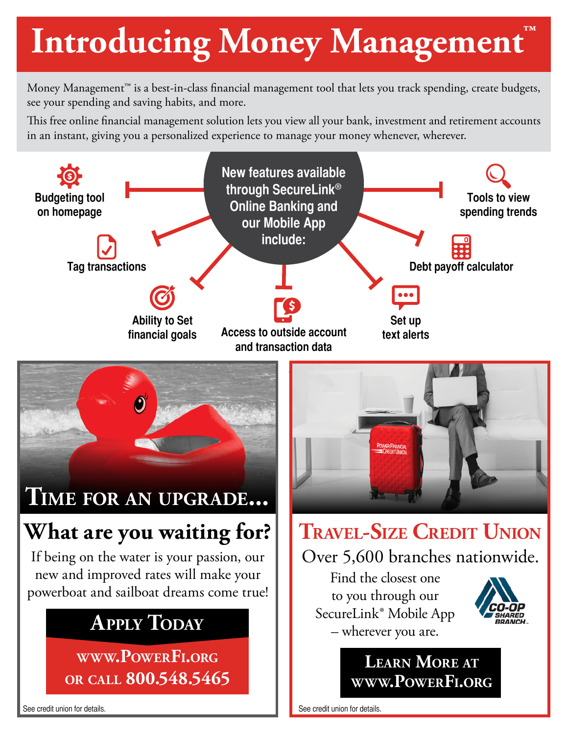# **Introducing Money Management™**

Money Management™ is a best-in-class financial management tool that lets you track spending, create budgets, see your spending and saving habits, and more.

This free online financial management solution lets you view all your bank, investment and retirement accounts in an instant, giving you a personalized experience to manage your money whenever, wherever.